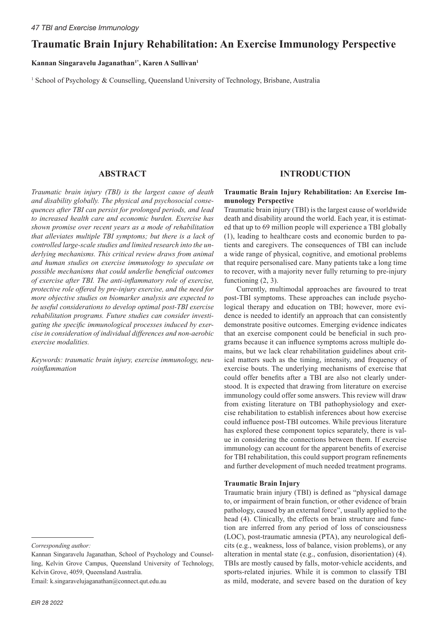# **Traumatic Brain Injury Rehabilitation: An Exercise Immunology Perspective**

## Kannan Singaravelu Jaganathan<sup>1\*</sup>, Karen A Sullivan<sup>1</sup>

<sup>1</sup> School of Psychology & Counselling, Queensland University of Technology, Brisbane, Australia

## **ABSTRACT**

*Traumatic brain injury (TBI) is the largest cause of death and disability globally. The physical and psychosocial consequences after TBI can persist for prolonged periods, and lead to increased health care and economic burden. Exercise has shown promise over recent years as a mode of rehabilitation that alleviates multiple TBI symptoms; but there is a lack of controlled large-scale studies and limited research into the underlying mechanisms. This critical review draws from animal and human studies on exercise immunology to speculate on possible mechanisms that could underlie beneficial outcomes of exercise after TBI. The anti-inflammatory role of exercise, protective role offered by pre-injury exercise, and the need for more objective studies on biomarker analysis are expected to be useful considerations to develop optimal post-TBI exercise rehabilitation programs. Future studies can consider investigating the specific immunological processes induced by exercise in consideration of individual differences and non-aerobic exercise modalities.* 

*Keywords: traumatic brain injury, exercise immunology, neuroinflammation*

Email: k.singaravelujaganathan@connect.qut.edu.au

## **INTRODUCTION**

#### **Traumatic Brain Injury Rehabilitation: An Exercise Immunology Perspective**

Traumatic brain injury (TBI) is the largest cause of worldwide death and disability around the world. Each year, it is estimated that up to 69 million people will experience a TBI globally (1), leading to healthcare costs and economic burden to patients and caregivers. The consequences of TBI can include a wide range of physical, cognitive, and emotional problems that require personalised care. Many patients take a long time to recover, with a majority never fully returning to pre-injury functioning  $(2, 3)$ .

Currently, multimodal approaches are favoured to treat post-TBI symptoms. These approaches can include psychological therapy and education on TBI; however, more evidence is needed to identify an approach that can consistently demonstrate positive outcomes. Emerging evidence indicates that an exercise component could be beneficial in such programs because it can influence symptoms across multiple domains, but we lack clear rehabilitation guidelines about critical matters such as the timing, intensity, and frequency of exercise bouts. The underlying mechanisms of exercise that could offer benefits after a TBI are also not clearly understood. It is expected that drawing from literature on exercise immunology could offer some answers. This review will draw from existing literature on TBI pathophysiology and exercise rehabilitation to establish inferences about how exercise could influence post-TBI outcomes. While previous literature has explored these component topics separately, there is value in considering the connections between them. If exercise immunology can account for the apparent benefits of exercise for TBI rehabilitation, this could support program refinements and further development of much needed treatment programs.

#### **Traumatic Brain Injury**

Traumatic brain injury (TBI) is defined as "physical damage to, or impairment of brain function, or other evidence of brain pathology, caused by an external force", usually applied to the head (4). Clinically, the effects on brain structure and function are inferred from any period of loss of consciousness (LOC), post-traumatic amnesia (PTA), any neurological deficits (e.g., weakness, loss of balance, vision problems), or any alteration in mental state (e.g., confusion, disorientation) (4). TBIs are mostly caused by falls, motor-vehicle accidents, and sports-related injuries. While it is common to classify TBI as mild, moderate, and severe based on the duration of key

*Corresponding author:*

Kannan Singaravelu Jaganathan, School of Psychology and Counselling, Kelvin Grove Campus, Queensland University of Technology, Kelvin Grove, 4059, Queensland Australia.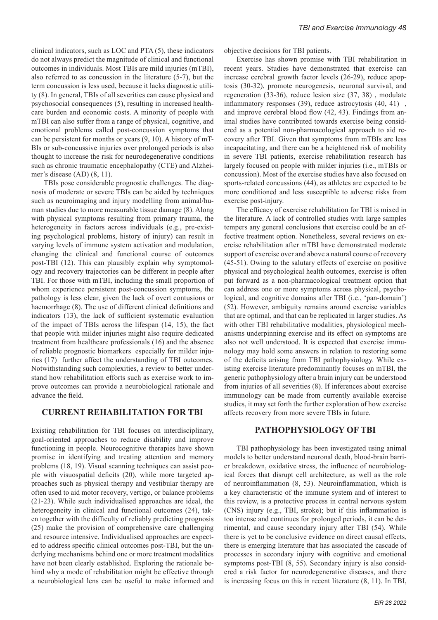clinical indicators, such as LOC and PTA (5), these indicators do not always predict the magnitude of clinical and functional outcomes in individuals. Most TBIs are mild injuries (mTBI), also referred to as concussion in the literature (5-7), but the term concussion is less used, because it lacks diagnostic utility (8). In general, TBIs of all severities can cause physical and psychosocial consequences (5), resulting in increased healthcare burden and economic costs. A minority of people with mTBI can also suffer from a range of physical, cognitive, and emotional problems called post-concussion symptoms that can be persistent for months or years (9, 10). A history of mT-BIs or sub-concussive injuries over prolonged periods is also thought to increase the risk for neurodegenerative conditions such as chronic traumatic encephalopathy (CTE) and Alzheimer's disease (AD) (8, 11).

TBIs pose considerable prognostic challenges. The diagnosis of moderate or severe TBIs can be aided by techniques such as neuroimaging and injury modelling from animal/human studies due to more measurable tissue damage (8). Along with physical symptoms resulting from primary trauma, the heterogeneity in factors across individuals (e.g., pre-existing psychological problems, history of injury) can result in varying levels of immune system activation and modulation, changing the clinical and functional course of outcomes post-TBI (12). This can plausibly explain why symptomology and recovery trajectories can be different in people after TBI. For those with mTBI, including the small proportion of whom experience persistent post-concussion symptoms, the pathology is less clear, given the lack of overt contusions or haemorrhage (8). The use of different clinical definitions and indicators (13), the lack of sufficient systematic evaluation of the impact of TBIs across the lifespan (14, 15), the fact that people with milder injuries might also require dedicated treatment from healthcare professionals (16) and the absence of reliable prognostic biomarkers especially for milder injuries (17) further affect the understanding of TBI outcomes. Notwithstanding such complexities, a review to better understand how rehabilitation efforts such as exercise work to improve outcomes can provide a neurobiological rationale and advance the field.

#### **CURRENT REHABILITATION FOR TBI**

Existing rehabilitation for TBI focuses on interdisciplinary, goal-oriented approaches to reduce disability and improve functioning in people. Neurocognitive therapies have shown promise in identifying and treating attention and memory problems (18, 19). Visual scanning techniques can assist people with visuospatial deficits (20), while more targeted approaches such as physical therapy and vestibular therapy are often used to aid motor recovery, vertigo, or balance problems (21-23). While such individualised approaches are ideal, the heterogeneity in clinical and functional outcomes (24), taken together with the difficulty of reliably predicting prognosis (25) make the provision of comprehensive care challenging and resource intensive. Individualised approaches are expected to address specific clinical outcomes post-TBI, but the underlying mechanisms behind one or more treatment modalities have not been clearly established. Exploring the rationale behind why a mode of rehabilitation might be effective through a neurobiological lens can be useful to make informed and objective decisions for TBI patients.

Exercise has shown promise with TBI rehabilitation in recent years. Studies have demonstrated that exercise can increase cerebral growth factor levels (26-29), reduce apoptosis (30-32), promote neurogenesis, neuronal survival, and regeneration (33-36), reduce lesion size (37, 38) , modulate inflammatory responses (39), reduce astrocytosis (40, 41) , and improve cerebral blood flow (42, 43). Findings from animal studies have contributed towards exercise being considered as a potential non-pharmacological approach to aid recovery after TBI. Given that symptoms from mTBIs are less incapacitating, and there can be a heightened risk of mobility in severe TBI patients, exercise rehabilitation research has largely focused on people with milder injuries (i.e., mTBIs or concussion). Most of the exercise studies have also focused on sports-related concussions (44), as athletes are expected to be more conditioned and less susceptible to adverse risks from exercise post-injury.

The efficacy of exercise rehabilitation for TBI is mixed in the literature. A lack of controlled studies with large samples tempers any general conclusions that exercise could be an effective treatment option. Nonetheless, several reviews on exercise rehabilitation after mTBI have demonstrated moderate support of exercise over and above a natural course of recovery (45-51). Owing to the salutary effects of exercise on positive physical and psychological health outcomes, exercise is often put forward as a non-pharmacological treatment option that can address one or more symptoms across physical, psychological, and cognitive domains after TBI (i.e., 'pan-domain') (52). However, ambiguity remains around exercise variables that are optimal, and that can be replicated in larger studies. As with other TBI rehabilitative modalities, physiological mechanisms underpinning exercise and its effect on symptoms are also not well understood. It is expected that exercise immunology may hold some answers in relation to restoring some of the deficits arising from TBI pathophysiology. While existing exercise literature predominantly focuses on mTBI, the generic pathophysiology after a brain injury can be understood from injuries of all severities (8). If inferences about exercise immunology can be made from currently available exercise studies, it may set forth the further exploration of how exercise affects recovery from more severe TBIs in future.

### **PATHOPHYSIOLOGY OF TBI**

TBI pathophysiology has been investigated using animal models to better understand neuronal death, blood-brain barrier breakdown, oxidative stress, the influence of neurobiological forces that disrupt cell architecture, as well as the role of neuroinflammation (8, 53). Neuroinflammation, which is a key characteristic of the immune system and of interest to this review, is a protective process in central nervous system (CNS) injury (e.g., TBI, stroke); but if this inflammation is too intense and continues for prolonged periods, it can be detrimental, and cause secondary injury after TBI (54). While there is yet to be conclusive evidence on direct causal effects, there is emerging literature that has associated the cascade of processes in secondary injury with cognitive and emotional symptoms post-TBI (8, 55). Secondary injury is also considered a risk factor for neurodegenerative diseases, and there is increasing focus on this in recent literature (8, 11). In TBI,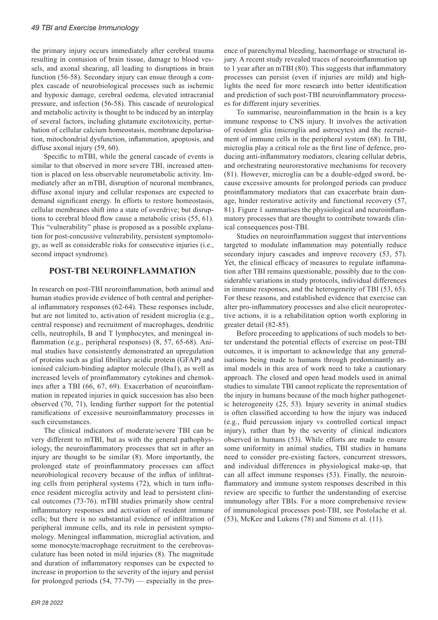the primary injury occurs immediately after cerebral trauma resulting in contusion of brain tissue, damage to blood vessels, and axonal shearing, all leading to disruptions in brain function (56-58). Secondary injury can ensue through a complex cascade of neurobiological processes such as ischemic and hypoxic damage, cerebral oedema, elevated intracranial pressure, and infection (56-58). This cascade of neurological and metabolic activity is thought to be induced by an interplay of several factors, including glutamate excitotoxicity, perturbation of cellular calcium homeostasis, membrane depolarisation, mitochondrial dysfunction, inflammation, apoptosis, and diffuse axonal injury (59, 60).

Specific to mTBI, while the general cascade of events is similar to that observed in more severe TBI, increased attention is placed on less observable neurometabolic activity. Immediately after an mTBI, disruption of neuronal membranes, diffuse axonal injury and cellular responses are expected to demand significant energy. In efforts to restore homeostasis, cellular membranes shift into a state of overdrive; but disruptions to cerebral blood flow cause a metabolic crisis (55, 61). This "vulnerability" phase is proposed as a possible explanation for post-concussive vulnerability, persistent symptomology, as well as considerable risks for consecutive injuries (i.e., second impact syndrome).

## **POST-TBI NEUROINFLAMMATION**

In research on post-TBI neuroinflammation, both animal and human studies provide evidence of both central and peripheral inflammatory responses (62-64). These responses include, but are not limited to, activation of resident microglia (e.g., central response) and recruitment of macrophages, dendritic cells, neutrophils, B and T lymphocytes, and meningeal inflammation (e.g., peripheral responses) (8, 57, 65-68). Animal studies have consistently demonstrated an upregulation of proteins such as glial fibrillary acidic protein (GFAP) and ionised calcium-binding adaptor molecule (Iba1), as well as increased levels of proinflammatory cytokines and chemokines after a TBI (66, 67, 69). Exacerbation of neuroinflammation in repeated injuries in quick succession has also been observed (70, 71), lending further support for the potential ramifications of excessive neuroinflammatory processes in such circumstances.

The clinical indicators of moderate/severe TBI can be very different to mTBI, but as with the general pathophysiology, the neuroinflammatory processes that set in after an injury are thought to be similar (8). More importantly, the prolonged state of proinflammatory processes can affect neurobiological recovery because of the influx of infiltrating cells from peripheral systems (72), which in turn influence resident microglia activity and lead to persistent clinical outcomes (73-76). mTBI studies primarily show central inflammatory responses and activation of resident immune cells; but there is no substantial evidence of infiltration of peripheral immune cells, and its role in persistent symptomology. Meningeal inflammation, microglial activation, and some monocyte/macrophage recruitment to the cerebrovasculature has been noted in mild injuries (8). The magnitude and duration of inflammatory responses can be expected to increase in proportion to the severity of the injury and persist for prolonged periods (54, 77-79) — especially in the presence of parenchymal bleeding, haemorrhage or structural injury. A recent study revealed traces of neuroinflammation up to 1 year after an mTBI (80). This suggests that inflammatory processes can persist (even if injuries are mild) and highlights the need for more research into better identification and prediction of such post-TBI neuroinflammatory processes for different injury severities.

To summarise, neuroinflammation in the brain is a key immune response to CNS injury. It involves the activation of resident glia (microglia and astrocytes) and the recruitment of immune cells in the peripheral system (68). In TBI, microglia play a critical role as the first line of defence, producing anti-inflammatory mediators, clearing cellular debris, and orchestrating neurorestorative mechanisms for recovery (81). However, microglia can be a double-edged sword, because excessive amounts for prolonged periods can produce proinflammatory mediators that can exacerbate brain damage, hinder restorative activity and functional recovery (57, 81). Figure 1 summarises the physiological and neuroinflammatory processes that are thought to contribute towards clinical consequences post-TBI.

Studies on neuroinflammation suggest that interventions targeted to modulate inflammation may potentially reduce secondary injury cascades and improve recovery  $(53, 57)$ . Yet, the clinical efficacy of measures to regulate inflammation after TBI remains questionable, possibly due to the considerable variations in study protocols, individual differences in immune responses, and the heterogeneity of TBI (53, 65). For these reasons, and established evidence that exercise can alter pro-inflammatory processes and also elicit neuroprotective actions, it is a rehabilitation option worth exploring in greater detail (82-85).

Before proceeding to applications of such models to better understand the potential effects of exercise on post-TBI outcomes, it is important to acknowledge that any generalisations being made to humans through predominantly animal models in this area of work need to take a cautionary approach. The closed and open head models used in animal studies to simulate TBI cannot replicate the representation of the injury in humans because of the much higher pathogenetic heterogeneity (25, 53). Injury severity in animal studies is often classified according to how the injury was induced (e.g., fluid percussion injury vs controlled cortical impact injury), rather than by the severity of clinical indicators observed in humans (53). While efforts are made to ensure some uniformity in animal studies, TBI studies in humans need to consider pre-existing factors, concurrent stressors, and individual differences in physiological make-up, that can all affect immune responses (53). Finally, the neuroinflammatory and immune system responses described in this review are specific to further the understanding of exercise immunology after TBIs. For a more comprehensive review of immunological processes post-TBI, see Postolache et al. (53), McKee and Lukens (78) and Simons et al. (11).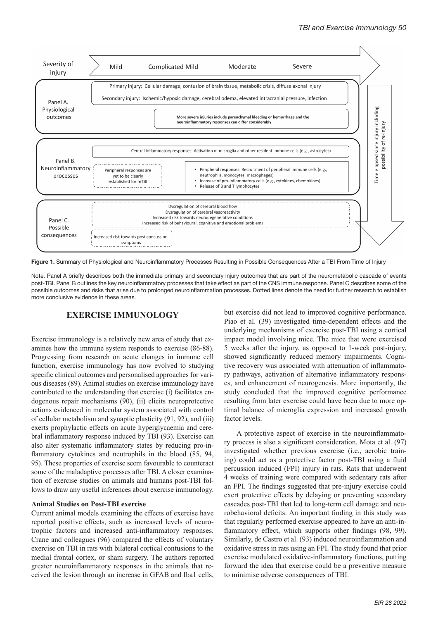

Figure 1. Summary of Physiological and Neuroinflammatory Processes Resulting in Possible Consequences After a TBI From Time of Injury

Note. Panel A briefly describes both the immediate primary and secondary injury outcomes that are part of the neurometabolic cascade of events post-TBI. Panel B outlines the key neuroinflammatory processes that take effect as part of the CNS immune response. Panel C describes some of the possible outcomes and risks that arise due to prolonged neuroinflammation processes. Dotted lines denote the need for further research to establish more conclusive evidence in these areas.

# **EXERCISE IMMUNOLOGY**

Exercise immunology is a relatively new area of study that examines how the immune system responds to exercise (86-88). Progressing from research on acute changes in immune cell function, exercise immunology has now evolved to studying specific clinical outcomes and personalised approaches for various diseases (89). Animal studies on exercise immunology have contributed to the understanding that exercise (i) facilitates endogenous repair mechanisms (90), (ii) elicits neuroprotective actions evidenced in molecular system associated with control of cellular metabolism and synaptic plasticity (91, 92), and (iii) exerts prophylactic effects on acute hyperglycaemia and cerebral inflammatory response induced by TBI (93). Exercise can also alter systematic inflammatory states by reducing pro-inflammatory cytokines and neutrophils in the blood (85, 94, 95). These properties of exercise seem favourable to counteract some of the maladaptive processes after TBI. A closer examination of exercise studies on animals and humans post-TBI follows to draw any useful inferences about exercise immunology.

## **Animal Studies on Post-TBI exercise**

Current animal models examining the effects of exercise have reported positive effects, such as increased levels of neurotrophic factors and increased anti-inflammatory responses. Crane and colleagues (96) compared the effects of voluntary exercise on TBI in rats with bilateral cortical contusions to the medial frontal cortex, or sham surgery. The authors reported greater neuroinflammatory responses in the animals that received the lesion through an increase in GFAB and Iba1 cells, but exercise did not lead to improved cognitive performance. Piao et al. (39) investigated time-dependent effects and the underlying mechanisms of exercise post-TBI using a cortical impact model involving mice. The mice that were exercised 5 weeks after the injury, as opposed to 1-week post-injury, showed significantly reduced memory impairments. Cognitive recovery was associated with attenuation of inflammatory pathways, activation of alternative inflammatory responses, and enhancement of neurogenesis. More importantly, the study concluded that the improved cognitive performance resulting from later exercise could have been due to more optimal balance of microglia expression and increased growth factor levels.

A protective aspect of exercise in the neuroinflammatory process is also a significant consideration. Mota et al. (97) investigated whether previous exercise (i.e., aerobic training) could act as a protective factor post-TBI using a fluid percussion induced (FPI) injury in rats. Rats that underwent 4 weeks of training were compared with sedentary rats after an FPI. The findings suggested that pre-injury exercise could exert protective effects by delaying or preventing secondary cascades post-TBI that led to long-term cell damage and neurobehavioral deficits. An important finding in this study was that regularly performed exercise appeared to have an anti-inflammatory effect, which supports other findings (98, 99). Similarly, de Castro et al. (93) induced neuroinflammation and oxidative stress in rats using an FPI. The study found that prior exercise modulated oxidative-inflammatory functions, putting forward the idea that exercise could be a preventive measure to minimise adverse consequences of TBI.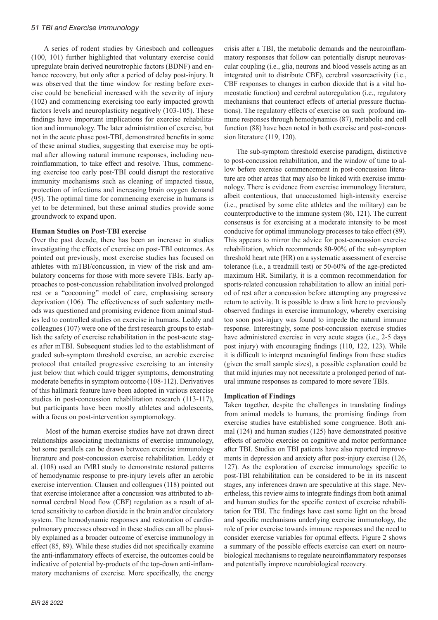#### *51 TBI and Exercise Immunology*

A series of rodent studies by Griesbach and colleagues (100, 101) further highlighted that voluntary exercise could upregulate brain derived neurotrophic factors (BDNF) and enhance recovery, but only after a period of delay post-injury. It was observed that the time window for resting before exercise could be beneficial increased with the severity of injury (102) and commencing exercising too early impacted growth factors levels and neuroplasticity negatively (103-105). These findings have important implications for exercise rehabilitation and immunology. The later administration of exercise, but not in the acute phase post-TBI, demonstrated benefits in some of these animal studies, suggesting that exercise may be optimal after allowing natural immune responses, including neuroinflammation, to take effect and resolve. Thus, commencing exercise too early post-TBI could disrupt the restorative immunity mechanisms such as cleaning of impacted tissue, protection of infections and increasing brain oxygen demand (95). The optimal time for commencing exercise in humans is yet to be determined, but these animal studies provide some groundwork to expand upon.

#### **Human Studies on Post-TBI exercise**

Over the past decade, there has been an increase in studies investigating the effects of exercise on post-TBI outcomes. As pointed out previously, most exercise studies has focused on athletes with mTBI/concussion, in view of the risk and ambulatory concerns for those with more severe TBIs. Early approaches to post-concussion rehabilitation involved prolonged rest or a "cocooning" model of care, emphasising sensory deprivation (106). The effectiveness of such sedentary methods was questioned and promising evidence from animal studies led to controlled studies on exercise in humans. Leddy and colleagues (107) were one of the first research groups to establish the safety of exercise rehabilitation in the post-acute stages after mTBI. Subsequent studies led to the establishment of graded sub-symptom threshold exercise, an aerobic exercise protocol that entailed progressive exercising to an intensity just below that which could trigger symptoms, demonstrating moderate benefits in symptom outcome (108-112). Derivatives of this hallmark feature have been adopted in various exercise studies in post-concussion rehabilitation research (113-117), but participants have been mostly athletes and adolescents, with a focus on post-intervention symptomology.

 Most of the human exercise studies have not drawn direct relationships associating mechanisms of exercise immunology, but some parallels can be drawn between exercise immunology literature and post-concussion exercise rehabilitation. Leddy et al. (108) used an fMRI study to demonstrate restored patterns of hemodynamic response to pre-injury levels after an aerobic exercise intervention. Clausen and colleagues (118) pointed out that exercise intolerance after a concussion was attributed to abnormal cerebral blood flow (CBF) regulation as a result of altered sensitivity to carbon dioxide in the brain and/or circulatory system. The hemodynamic responses and restoration of cardiopulmonary processes observed in these studies can all be plausibly explained as a broader outcome of exercise immunology in effect (85, 89). While these studies did not specifically examine the anti-inflammatory effects of exercise, the outcomes could be indicative of potential by-products of the top-down anti-inflammatory mechanisms of exercise. More specifically, the energy crisis after a TBI, the metabolic demands and the neuroinflammatory responses that follow can potentially disrupt neurovascular coupling (i.e., glia, neurons and blood vessels acting as an integrated unit to distribute CBF), cerebral vasoreactivity (i.e., CBF responses to changes in carbon dioxide that is a vital homeostatic function) and cerebral autoregulation (i.e., regulatory mechanisms that counteract effects of arterial pressure fluctuations). The regulatory effects of exercise on such profound immune responses through hemodynamics (87), metabolic and cell function (88) have been noted in both exercise and post-concussion literature (119, 120).

The sub-symptom threshold exercise paradigm, distinctive to post-concussion rehabilitation, and the window of time to allow before exercise commencement in post-concussion literature are other areas that may also be linked with exercise immunology. There is evidence from exercise immunology literature, albeit contentious, that unaccustomed high-intensity exercise (i.e., practised by some elite athletes and the military) can be counterproductive to the immune system (86, 121). The current consensus is for exercising at a moderate intensity to be most conducive for optimal immunology processes to take effect (89). This appears to mirror the advice for post-concussion exercise rehabilitation, which recommends 80-90% of the sub-symptom threshold heart rate (HR) on a systematic assessment of exercise tolerance (i.e., a treadmill test) or 50-60% of the age-predicted maximum HR. Similarly, it is a common recommendation for sports-related concussion rehabilitation to allow an initial period of rest after a concussion before attempting any progressive return to activity. It is possible to draw a link here to previously observed findings in exercise immunology, whereby exercising too soon post-injury was found to impede the natural immune response. Interestingly, some post-concussion exercise studies have administered exercise in very acute stages (i.e., 2-5 days post injury) with encouraging findings (110, 122, 123). While it is difficult to interpret meaningful findings from these studies (given the small sample sizes), a possible explanation could be that mild injuries may not necessitate a prolonged period of natural immune responses as compared to more severe TBIs.

#### **Implication of Findings**

Taken together, despite the challenges in translating findings from animal models to humans, the promising findings from exercise studies have established some congruence. Both animal (124) and human studies (125) have demonstrated positive effects of aerobic exercise on cognitive and motor performance after TBI. Studies on TBI patients have also reported improvements in depression and anxiety after post-injury exercise (126, 127). As the exploration of exercise immunology specific to post-TBI rehabilitation can be considered to be in its nascent stages, any inferences drawn are speculative at this stage. Nevertheless, this review aims to integrate findings from both animal and human studies for the specific context of exercise rehabilitation for TBI. The findings have cast some light on the broad and specific mechanisms underlying exercise immunology, the role of prior exercise towards immune responses and the need to consider exercise variables for optimal effects. Figure 2 shows a summary of the possible effects exercise can exert on neurobiological mechanisms to regulate neuroinflammatory responses and potentially improve neurobiological recovery.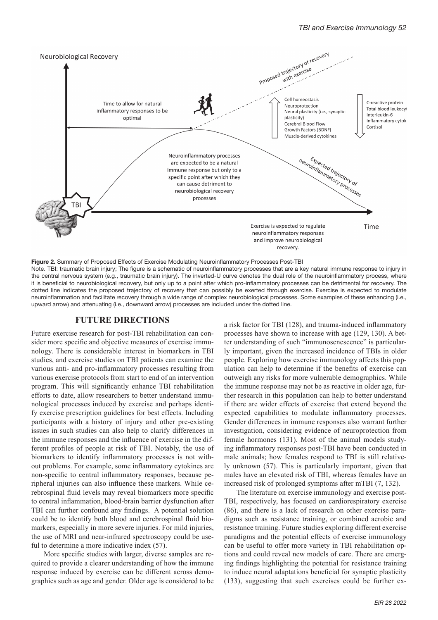

Figure 2. Summary of Proposed Effects of Exercise Modulating Neuroinflammatory Processes Post-TBI Note. TBI: traumatic brain injury; The figure is a schematic of neuroinflammatory processes that are a key natural immune response to injury in the central nervous system (e.g., traumatic brain injury). The inverted-U curve denotes the dual role of the neuroinflammatory process, where it is beneficial to neurobiological recovery, but only up to a point after which pro-inflammatory processes can be detrimental for recovery. The dotted line indicates the proposed trajectory of recovery that can possibly be exerted through exercise. Exercise is expected to modulate neuroinflammation and facilitate recovery through a wide range of complex neurobiological processes. Some examples of these enhancing (i.e., upward arrow) and attenuating (i.e., downward arrow) processes are included under the dotted line.

#### **FUTURE DIRECTIONS**

Future exercise research for post-TBI rehabilitation can consider more specific and objective measures of exercise immunology. There is considerable interest in biomarkers in TBI studies, and exercise studies on TBI patients can examine the various anti- and pro-inflammatory processes resulting from various exercise protocols from start to end of an intervention program. This will significantly enhance TBI rehabilitation efforts to date, allow researchers to better understand immunological processes induced by exercise and perhaps identify exercise prescription guidelines for best effects. Including participants with a history of injury and other pre-existing issues in such studies can also help to clarify differences in the immune responses and the influence of exercise in the different profiles of people at risk of TBI. Notably, the use of biomarkers to identify inflammatory processes is not without problems. For example, some inflammatory cytokines are non-specific to central inflammatory responses, because peripheral injuries can also influence these markers. While cerebrospinal fluid levels may reveal biomarkers more specific to central inflammation, blood-brain barrier dysfunction after TBI can further confound any findings. A potential solution could be to identify both blood and cerebrospinal fluid biomarkers, especially in more severe injuries. For mild injuries, the use of MRI and near-infrared spectroscopy could be useful to determine a more indicative index (57).

More specific studies with larger, diverse samples are required to provide a clearer understanding of how the immune response induced by exercise can be different across demographics such as age and gender. Older age is considered to be a risk factor for TBI (128), and trauma-induced inflammatory processes have shown to increase with age (129, 130). A better understanding of such "immunosenescence" is particularly important, given the increased incidence of TBIs in older people. Exploring how exercise immunology affects this population can help to determine if the benefits of exercise can outweigh any risks for more vulnerable demographics. While the immune response may not be as reactive in older age, further research in this population can help to better understand if there are wider effects of exercise that extend beyond the expected capabilities to modulate inflammatory processes. Gender differences in immune responses also warrant further investigation, considering evidence of neuroprotection from female hormones (131). Most of the animal models studying inflammatory responses post-TBI have been conducted in male animals; how females respond to TBI is still relatively unknown (57). This is particularly important, given that males have an elevated risk of TBI, whereas females have an increased risk of prolonged symptoms after mTBI (7, 132).

The literature on exercise immunology and exercise post-TBI, respectively, has focused on cardiorespiratory exercise (86), and there is a lack of research on other exercise paradigms such as resistance training, or combined aerobic and resistance training. Future studies exploring different exercise paradigms and the potential effects of exercise immunology can be useful to offer more variety in TBI rehabilitation options and could reveal new models of care. There are emerging findings highlighting the potential for resistance training to induce neural adaptations beneficial for synaptic plasticity (133), suggesting that such exercises could be further ex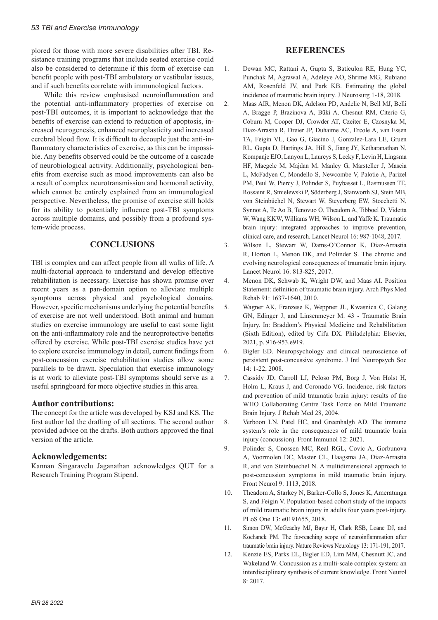plored for those with more severe disabilities after TBI. Resistance training programs that include seated exercise could also be considered to determine if this form of exercise can benefit people with post-TBI ambulatory or vestibular issues, and if such benefits correlate with immunological factors.

While this review emphasised neuroinflammation and the potential anti-inflammatory properties of exercise on post-TBI outcomes, it is important to acknowledge that the benefits of exercise can extend to reduction of apoptosis, increased neurogenesis, enhanced neuroplasticity and increased cerebral blood flow. It is difficult to decouple just the anti-inflammatory characteristics of exercise, as this can be impossible. Any benefits observed could be the outcome of a cascade of neurobiological activity. Additionally, psychological benefits from exercise such as mood improvements can also be a result of complex neurotransmission and hormonal activity, which cannot be entirely explained from an immunological perspective. Nevertheless, the promise of exercise still holds for its ability to potentially influence post-TBI symptoms across multiple domains, and possibly from a profound system-wide process.

## **CONCLUSIONS**

TBI is complex and can affect people from all walks of life. A multi-factorial approach to understand and develop effective rehabilitation is necessary. Exercise has shown promise over recent years as a pan-domain option to alleviate multiple symptoms across physical and psychological domains. However, specific mechanisms underlying the potential benefits of exercise are not well understood. Both animal and human studies on exercise immunology are useful to cast some light on the anti-inflammatory role and the neuroprotective benefits offered by exercise. While post-TBI exercise studies have yet to explore exercise immunology in detail, current findings from post-concussion exercise rehabilitation studies allow some parallels to be drawn. Speculation that exercise immunology is at work to alleviate post-TBI symptoms should serve as a useful springboard for more objective studies in this area.

## **Author contributions:**

The concept for the article was developed by KSJ and KS. The first author led the drafting of all sections. The second author provided advice on the drafts. Both authors approved the final version of the article.

# **Acknowledgements:**

Kannan Singaravelu Jaganathan acknowledges QUT for a Research Training Program Stipend.

# **REFERENCES**

- 1. Dewan MC, Rattani A, Gupta S, Baticulon RE, Hung YC, Punchak M, Agrawal A, Adeleye AO, Shrime MG, Rubiano AM, Rosenfeld JV, and Park KB. Estimating the global incidence of traumatic brain injury. J Neurosurg 1-18, 2018.
- 2. Maas AIR, Menon DK, Adelson PD, Andelic N, Bell MJ, Belli A, Bragge P, Brazinova A, Büki A, Chesnut RM, Citerio G, Coburn M, Cooper DJ, Crowder AT, Czeiter E, Czosnyka M, Diaz-Arrastia R, Dreier JP, Duhaime AC, Ercole A, van Essen TA, Feigin VL, Gao G, Giacino J, Gonzalez-Lara LE, Gruen RL, Gupta D, Hartings JA, Hill S, Jiang JY, Ketharanathan N, Kompanje EJO, Lanyon L, Laureys S, Lecky F, Levin H, Lingsma HF, Maegele M, Majdan M, Manley G, Marsteller J, Mascia L, McFadyen C, Mondello S, Newcombe V, Palotie A, Parizel PM, Peul W, Piercy J, Polinder S, Puybasset L, Rasmussen TE, Rossaint R, Smielewski P, Söderberg J, Stanworth SJ, Stein MB, von Steinbüchel N, Stewart W, Steyerberg EW, Stocchetti N, Synnot A, Te Ao B, Tenovuo O, Theadom A, Tibboel D, Videtta W, Wang KKW, Williams WH, Wilson L, and Yaffe K. Traumatic brain injury: integrated approaches to improve prevention, clinical care, and research. Lancet Neurol 16: 987-1048, 2017.
- 3. Wilson L, Stewart W, Dams-O'Connor K, Diaz-Arrastia R, Horton L, Menon DK, and Polinder S. The chronic and evolving neurological consequences of traumatic brain injury. Lancet Neurol 16: 813-825, 2017.
- 4. Menon DK, Schwab K, Wright DW, and Maas AI. Position Statement: definition of traumatic brain injury. Arch Phys Med Rehab 91: 1637-1640, 2010.
- 5. Wagner AK, Franzese K, Weppner JL, Kwasnica C, Galang GN, Edinger J, and Linsenmeyer M. 43 - Traumatic Brain Injury. In: Braddom's Physical Medicine and Rehabilitation (Sixth Edition), edited by Cifu DX. Philadelphia: Elsevier, 2021, p. 916-953.e919.
- 6. Bigler ED. Neuropsychology and clinical neuroscience of persistent post-concussive syndrome. J Intl Neuropsych Soc 14: 1-22, 2008.
- 7. Cassidy JD, Carroll LJ, Peloso PM, Borg J, Von Holst H, Holm L, Kraus J, and Coronado VG. Incidence, risk factors and prevention of mild traumatic brain injury: results of the WHO Collaborating Centre Task Force on Mild Traumatic Brain Injury. J Rehab Med 28, 2004.
- 8. Verboon LN, Patel HC, and Greenhalgh AD. The immune system's role in the consequences of mild traumatic brain injury (concussion). Front Immunol 12: 2021.
- 9. Polinder S, Cnossen MC, Real RGL, Covic A, Gorbunova A, Voormolen DC, Master CL, Haagsma JA, Diaz-Arrastia R, and von Steinbuechel N. A multidimensional approach to post-concussion symptoms in mild traumatic brain injury. Front Neurol 9: 1113, 2018.
- 10. Theadom A, Starkey N, Barker-Collo S, Jones K, Ameratunga S, and Feigin V. Population-based cohort study of the impacts of mild traumatic brain injury in adults four years post-injury. PLoS One 13: e0191655, 2018.
- 11. Simon DW, McGeachy MJ, Bayır H, Clark RSB, Loane DJ, and Kochanek PM. The far-reaching scope of neuroinflammation after traumatic brain injury. Nature Reviews Neurology 13: 171-191, 2017.
- 12. Kenzie ES, Parks EL, Bigler ED, Lim MM, Chesnutt JC, and Wakeland W. Concussion as a multi-scale complex system: an interdisciplinary synthesis of current knowledge. Front Neurol 8: 2017.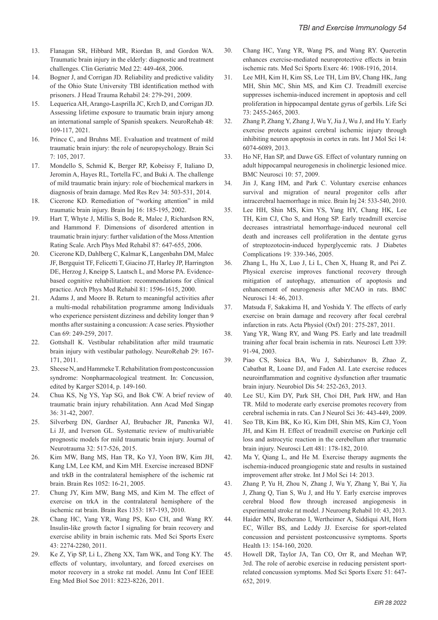- 13. Flanagan SR, Hibbard MR, Riordan B, and Gordon WA. Traumatic brain injury in the elderly: diagnostic and treatment challenges. Clin Geriatric Med 22: 449-468, 2006.
- 14. Bogner J, and Corrigan JD. Reliability and predictive validity of the Ohio State University TBI identification method with prisoners. J Head Trauma Rehabil 24: 279-291, 2009.
- 15. Lequerica AH, Arango-Lasprilla JC, Krch D, and Corrigan JD. Assessing lifetime exposure to traumatic brain injury among an international sample of Spanish speakers. NeuroRehab 48: 109-117, 2021.
- 16. Prince C, and Bruhns ME. Evaluation and treatment of mild traumatic brain injury: the role of neuropsychology. Brain Sci 7: 105, 2017.
- 17. Mondello S, Schmid K, Berger RP, Kobeissy F, Italiano D, Jeromin A, Hayes RL, Tortella FC, and Buki A. The challenge of mild traumatic brain injury: role of biochemical markers in diagnosis of brain damage. Med Res Rev 34: 503-531, 2014.
- 18. Cicerone KD. Remediation of "working attention" in mild traumatic brain injury. Brain Inj 16: 185-195, 2002.
- 19. Hart T, Whyte J, Millis S, Bode R, Malec J, Richardson RN, and Hammond F. Dimensions of disordered attention in traumatic brain injury: further validation of the Moss Attention Rating Scale. Arch Phys Med Rehabil 87: 647-655, 2006.
- 20. Cicerone KD, Dahlberg C, Kalmar K, Langenbahn DM, Malec JF, Bergquist TF, Felicetti T, Giacino JT, Harley JP, Harrington DE, Herzog J, Kneipp S, Laatsch L, and Morse PA. Evidencebased cognitive rehabilitation: recommendations for clinical practice. Arch Phys Med Rehabil 81: 1596-1615, 2000.
- 21. Adams J, and Moore B. Return to meaningful activities after a multi-modal rehabilitation programme among Individuals who experience persistent dizziness and debility longer than 9 months after sustaining a concussion: A case series. Physiother Can 69: 249-259, 2017.
- 22. Gottshall K. Vestibular rehabilitation after mild traumatic brain injury with vestibular pathology. NeuroRehab 29: 167- 171, 2011.
- 23. Sheese N, and Hammeke T. Rehabilitation from postconcussion syndrome: Nonpharmacological treatment. In: Concussion, edited by Karger S2014, p. 149-160.
- 24. Chua KS, Ng YS, Yap SG, and Bok CW. A brief review of traumatic brain injury rehabilitation. Ann Acad Med Singap 36: 31-42, 2007.
- 25. Silverberg DN, Gardner AJ, Brubacher JR, Panenka WJ, Li JJ, and Iverson GL. Systematic review of multivariable prognostic models for mild traumatic brain injury. Journal of Neurotrauma 32: 517-526, 2015.
- 26. Kim MW, Bang MS, Han TR, Ko YJ, Yoon BW, Kim JH, Kang LM, Lee KM, and Kim MH. Exercise increased BDNF and trkB in the contralateral hemisphere of the ischemic rat brain. Brain Res 1052: 16-21, 2005.
- 27. Chung JY, Kim MW, Bang MS, and Kim M. The effect of exercise on trkA in the contralateral hemisphere of the ischemic rat brain. Brain Res 1353: 187-193, 2010.
- 28. Chang HC, Yang YR, Wang PS, Kuo CH, and Wang RY. Insulin-like growth factor I signaling for brain recovery and exercise ability in brain ischemic rats. Med Sci Sports Exerc 43: 2274-2280, 2011.
- 29. Ke Z, Yip SP, Li L, Zheng XX, Tam WK, and Tong KY. The effects of voluntary, involuntary, and forced exercises on motor recovery in a stroke rat model. Annu Int Conf IEEE Eng Med Biol Soc 2011: 8223-8226, 2011.
- 30. Chang HC, Yang YR, Wang PS, and Wang RY. Quercetin enhances exercise-mediated neuroprotective effects in brain ischemic rats. Med Sci Sports Exerc 46: 1908-1916, 2014.
- 31. Lee MH, Kim H, Kim SS, Lee TH, Lim BV, Chang HK, Jang MH, Shin MC, Shin MS, and Kim CJ. Treadmill exercise suppresses ischemia-induced increment in apoptosis and cell proliferation in hippocampal dentate gyrus of gerbils. Life Sci 73: 2455-2465, 2003.
- 32. Zhang P, Zhang Y, Zhang J, Wu Y, Jia J, Wu J, and Hu Y. Early exercise protects against cerebral ischemic injury through inhibiting neuron apoptosis in cortex in rats. Int J Mol Sci 14: 6074-6089, 2013.
- 33. Ho NF, Han SP, and Dawe GS. Effect of voluntary running on adult hippocampal neurogenesis in cholinergic lesioned mice. BMC Neurosci 10: 57, 2009.
- 34. Jin J, Kang HM, and Park C. Voluntary exercise enhances survival and migration of neural progenitor cells after intracerebral haemorrhage in mice. Brain Inj 24: 533-540, 2010.
- 35. Lee HH, Shin MS, Kim YS, Yang HY, Chang HK, Lee TH, Kim CJ, Cho S, and Hong SP. Early treadmill exercise decreases intrastriatal hemorrhage-induced neuronal cell death and increases cell proliferation in the dentate gyrus of streptozotocin-induced hyperglycemic rats. J Diabetes Complications 19: 339-346, 2005.
- 36. Zhang L, Hu X, Luo J, Li L, Chen X, Huang R, and Pei Z. Physical exercise improves functional recovery through mitigation of autophagy, attenuation of apoptosis and enhancement of neurogenesis after MCAO in rats. BMC Neurosci 14: 46, 2013.
- 37. Matsuda F, Sakakima H, and Yoshida Y. The effects of early exercise on brain damage and recovery after focal cerebral infarction in rats. Acta Physiol (Oxf) 201: 275-287, 2011.
- 38. Yang YR, Wang RY, and Wang PS. Early and late treadmill training after focal brain ischemia in rats. Neurosci Lett 339: 91-94, 2003.
- 39. Piao CS, Stoica BA, Wu J, Sabirzhanov B, Zhao Z, Cabatbat R, Loane DJ, and Faden AI. Late exercise reduces neuroinflammation and cognitive dysfunction after traumatic brain injury. Neurobiol Dis 54: 252-263, 2013.
- 40. Lee SU, Kim DY, Park SH, Choi DH, Park HW, and Han TR. Mild to moderate early exercise promotes recovery from cerebral ischemia in rats. Can J Neurol Sci 36: 443-449, 2009.
- 41. Seo TB, Kim BK, Ko IG, Kim DH, Shin MS, Kim CJ, Yoon JH, and Kim H. Effect of treadmill exercise on Purkinje cell loss and astrocytic reaction in the cerebellum after traumatic brain injury. Neurosci Lett 481: 178-182, 2010.
- 42. Ma Y, Qiang L, and He M. Exercise therapy augments the ischemia-induced proangiogenic state and results in sustained improvement after stroke. Int J Mol Sci 14: 2013.
- 43. Zhang P, Yu H, Zhou N, Zhang J, Wu Y, Zhang Y, Bai Y, Jia J, Zhang Q, Tian S, Wu J, and Hu Y. Early exercise improves cerebral blood flow through increased angiogenesis in experimental stroke rat model. J Neuroeng Rehabil 10: 43, 2013.
- 44. Haider MN, Bezherano I, Wertheimer A, Siddiqui AH, Horn EC, Willer BS, and Leddy JJ. Exercise for sport-related concussion and persistent postconcussive symptoms. Sports Health 13: 154-160, 2020.
- 45. Howell DR, Taylor JA, Tan CO, Orr R, and Meehan WP, 3rd. The role of aerobic exercise in reducing persistent sportrelated concussion symptoms. Med Sci Sports Exerc 51: 647- 652, 2019.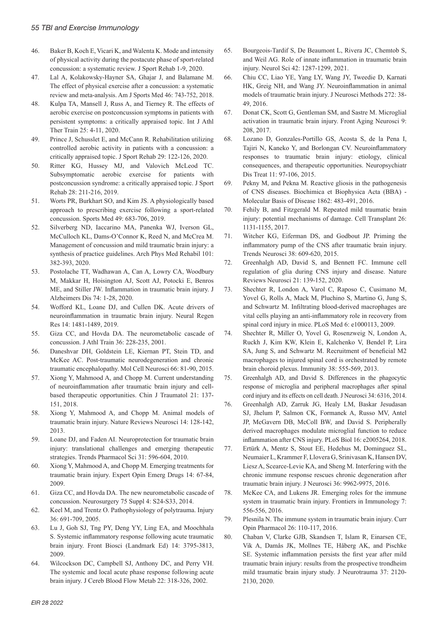- 46. Baker B, Koch E, Vicari K, and Walenta K. Mode and intensity of physical activity during the postacute phase of sport-related concussion: a systematic review. J Sport Rehab 1-9, 2020.
- 47. Lal A, Kolakowsky-Hayner SA, Ghajar J, and Balamane M. The effect of physical exercise after a concussion: a systematic review and meta-analysis. Am J Sports Med 46: 743-752, 2018.
- 48. Kulpa TA, Mansell J, Russ A, and Tierney R. The effects of aerobic exercise on postconcussion symptoms in patients with persistent symptoms: a critically appraised topic. Int J Athl Ther Train 25: 4-11, 2020.
- 49. Prince J, Schusslet E, and McCann R. Rehabilitation utilizing controlled aerobic activity in patients with a concussion: a critically appraised topic. J Sport Rehab 29: 122-126, 2020.
- 50. Ritter KG, Hussey MJ, and Valovich McLeod TC. Subsymptomatic aerobic exercise for patients with postconcussion syndrome: a critically appraised topic. J Sport Rehab 28: 211-216, 2019.
- 51. Worts PR, Burkhart SO, and Kim JS. A physiologically based approach to prescribing exercise following a sport-related concussion. Sports Med 49: 683-706, 2019.
- 52. Silverberg ND, Iaccarino MA, Panenka WJ, Iverson GL, McCulloch KL, Dams-O'Connor K, Reed N, and McCrea M. Management of concussion and mild traumatic brain injury: a synthesis of practice guidelines. Arch Phys Med Rehabil 101: 382-393, 2020.
- 53. Postolache TT, Wadhawan A, Can A, Lowry CA, Woodbury M, Makkar H, Hoisington AJ, Scott AJ, Potocki E, Benros ME, and Stiller JW. Inflammation in traumatic brain injury. J Alzheimers Dis 74: 1-28, 2020.
- 54. Wofford KL, Loane DJ, and Cullen DK. Acute drivers of neuroinflammation in traumatic brain injury. Neural Regen Res 14: 1481-1489, 2019.
- 55. Giza CC, and Hovda DA. The neurometabolic cascade of concussion. J Athl Train 36: 228-235, 2001.
- 56. Daneshvar DH, Goldstein LE, Kiernan PT, Stein TD, and McKee AC. Post-traumatic neurodegeneration and chronic traumatic encephalopathy. Mol Cell Neurosci 66: 81-90, 2015.
- 57. Xiong Y, Mahmood A, and Chopp M. Current understanding of neuroinflammation after traumatic brain injury and cellbased therapeutic opportunities. Chin J Traumatol 21: 137- 151, 2018.
- 58. Xiong Y, Mahmood A, and Chopp M. Animal models of traumatic brain injury. Nature Reviews Neurosci 14: 128-142, 2013.
- 59. Loane DJ, and Faden AI. Neuroprotection for traumatic brain injury: translational challenges and emerging therapeutic strategies. Trends Pharmacol Sci 31: 596-604, 2010.
- 60. Xiong Y, Mahmood A, and Chopp M. Emerging treatments for traumatic brain injury. Expert Opin Emerg Drugs 14: 67-84, 2009.
- 61. Giza CC, and Hovda DA. The new neurometabolic cascade of concussion. Neurosurgery 75 Suppl 4: S24-S33, 2014.
- 62. Keel M, and Trentz O. Pathophysiology of polytrauma. Injury 36: 691-709, 2005.
- 63. Lu J, Goh SJ, Tng PY, Deng YY, Ling EA, and Moochhala S. Systemic inflammatory response following acute traumatic brain injury. Front Biosci (Landmark Ed) 14: 3795-3813, 2009.
- 64. Wilcockson DC, Campbell SJ, Anthony DC, and Perry VH. The systemic and local acute phase response following acute brain injury. J Cereb Blood Flow Metab 22: 318-326, 2002.
- 65. Bourgeois-Tardif S, De Beaumont L, Rivera JC, Chemtob S, and Weil AG. Role of innate inflammation in traumatic brain injury. Neurol Sci 42: 1287-1299, 2021.
- 66. Chiu CC, Liao YE, Yang LY, Wang JY, Tweedie D, Karnati HK, Greig NH, and Wang JY. Neuroinflammation in animal models of traumatic brain injury. J Neurosci Methods 272: 38- 49, 2016.
- 67. Donat CK, Scott G, Gentleman SM, and Sastre M. Microglial activation in traumatic brain injury. Front Aging Neurosci 9: 208, 2017.
- 68. Lozano D, Gonzales-Portillo GS, Acosta S, de la Pena I, Tajiri N, Kaneko Y, and Borlongan CV. Neuroinflammatory responses to traumatic brain injury: etiology, clinical consequences, and therapeutic opportunities. Neuropsychiatr Dis Treat 11: 97-106, 2015.
- 69. Pekny M, and Pekna M. Reactive gliosis in the pathogenesis of CNS diseases. Biochimica et Biophysica Acta (BBA) - Molecular Basis of Disease 1862: 483-491, 2016.
- 70. Fehily B, and Fitzgerald M. Repeated mild traumatic brain injury: potential mechanisms of damage. Cell Transplant 26: 1131-1155, 2017.
- 71. Witcher KG, Eiferman DS, and Godbout JP. Priming the inflammatory pump of the CNS after traumatic brain injury. Trends Neurosci 38: 609-620, 2015.
- 72. Greenhalgh AD, David S, and Bennett FC. Immune cell regulation of glia during CNS injury and disease. Nature Reviews Neurosci 21: 139-152, 2020.
- 73. Shechter R, London A, Varol C, Raposo C, Cusimano M, Yovel G, Rolls A, Mack M, Pluchino S, Martino G, Jung S, and Schwartz M. Infiltrating blood-derived macrophages are vital cells playing an anti-inflammatory role in recovery from spinal cord injury in mice. PLoS Med 6: e1000113, 2009.
- 74. Shechter R, Miller O, Yovel G, Rosenzweig N, London A, Ruckh J, Kim KW, Klein E, Kalchenko V, Bendel P, Lira SA, Jung S, and Schwartz M. Recruitment of beneficial M2 macrophages to injured spinal cord is orchestrated by remote brain choroid plexus. Immunity 38: 555-569, 2013.
- 75. Greenhalgh AD, and David S. Differences in the phagocytic response of microglia and peripheral macrophages after spinal cord injury and its effects on cell death. J Neurosci 34: 6316, 2014.
- 76. Greenhalgh AD, Zarruk JG, Healy LM, Baskar Jesudasan SJ, Jhelum P, Salmon CK, Formanek A, Russo MV, Antel JP, McGavern DB, McColl BW, and David S. Peripherally derived macrophages modulate microglial function to reduce inflammation after CNS injury. PLoS Biol 16: e2005264, 2018.
- 77. Ertürk A, Mentz S, Stout EE, Hedehus M, Dominguez SL, Neumaier L, Krammer F, Llovera G, Srinivasan K, Hansen DV, Liesz A, Scearce-Levie KA, and Sheng M. Interfering with the chronic immune response rescues chronic degeneration after traumatic brain injury. J Neurosci 36: 9962-9975, 2016.
- 78. McKee CA, and Lukens JR. Emerging roles for the immune system in traumatic brain injury. Frontiers in Immunology 7: 556-556, 2016.
- 79. Plesnila N. The immune system in traumatic brain injury. Curr Opin Pharmacol 26: 110-117, 2016.
- 80. Chaban V, Clarke GJB, Skandsen T, Islam R, Einarsen CE, Vik A, Damås JK, Mollnes TE, Håberg AK, and Pischke SE. Systemic inflammation persists the first year after mild traumatic brain injury: results from the prospective trondheim mild traumatic brain injury study. J Neurotrauma 37: 2120- 2130, 2020.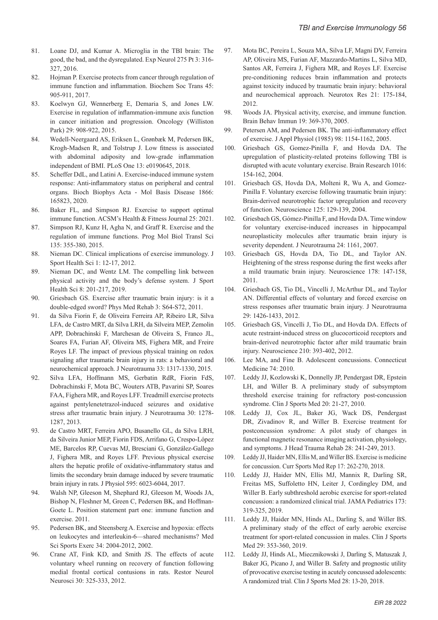- 81. Loane DJ, and Kumar A. Microglia in the TBI brain: The good, the bad, and the dysregulated. Exp Neurol 275 Pt 3: 316- 327, 2016.
- 82. Hojman P. Exercise protects from cancer through regulation of immune function and inflammation. Biochem Soc Trans 45: 905-911, 2017.
- 83. Koelwyn GJ, Wennerberg E, Demaria S, and Jones LW. Exercise in regulation of inflammation-immune axis function in cancer initiation and progression. Oncology (Williston Park) 29: 908-922, 2015.
- 84. Wedell-Neergaard AS, Eriksen L, Grønbæk M, Pedersen BK, Krogh-Madsen R, and Tolstrup J. Low fitness is associated with abdominal adiposity and low-grade inflammation independent of BMI. PLoS One 13: e0190645, 2018.
- 85. Scheffer DdL, and Latini A. Exercise-induced immune system response: Anti-inflammatory status on peripheral and central organs. Bioch Biophys Acta - Mol Basis Disease 1866: 165823, 2020.
- 86. Baker FL, and Simpson RJ. Exercise to support optimal immune function. ACSM's Health & Fitness Journal 25: 2021.
- 87. Simpson RJ, Kunz H, Agha N, and Graff R. Exercise and the regulation of immune functions. Prog Mol Biol Transl Sci 135: 355-380, 2015.
- 88. Nieman DC. Clinical implications of exercise immunology. J Sport Health Sci 1: 12-17, 2012.
- 89. Nieman DC, and Wentz LM. The compelling link between physical activity and the body's defense system. J Sport Health Sci 8: 201-217, 2019.
- 90. Griesbach GS. Exercise after traumatic brain injury: is it a double-edged sword? Phys Med Rehab 3: S64-S72, 2011.
- 91. da Silva Fiorin F, de Oliveira Ferreira AP, Ribeiro LR, Silva LFA, de Castro MRT, da Silva LRH, da Silveira MEP, Zemolin APP, Dobrachinski F, Marchesan de Oliveira S, Franco JL, Soares FA, Furian AF, Oliveira MS, Fighera MR, and Freire Royes LF. The impact of previous physical training on redox signaling after traumatic brain injury in rats: a behavioral and neurochemical approach. J Neurotrauma 33: 1317-1330, 2015.
- 92. Silva LFA, Hoffmann MS, Gerbatin RdR, Fiorin FdS, Dobrachinski F, Mota BC, Wouters ATB, Pavarini SP, Soares FAA, Fighera MR, and Royes LFF. Treadmill exercise protects against pentylenetetrazol-induced seizures and oxidative stress after traumatic brain injury. J Neurotrauma 30: 1278- 1287, 2013.
- 93. de Castro MRT, Ferreira APO, Busanello GL, da Silva LRH, da Silveira Junior MEP, Fiorin FDS, Arrifano G, Crespo-López ME, Barcelos RP, Cuevas MJ, Bresciani G, González-Gallego J, Fighera MR, and Royes LFF. Previous physical exercise alters the hepatic profile of oxidative-inflammatory status and limits the secondary brain damage induced by severe traumatic brain injury in rats. J Physiol 595: 6023-6044, 2017.
- 94. Walsh NP, Gleeson M, Shephard RJ, Gleeson M, Woods JA, Bishop N, Fleshner M, Green C, Pedersen BK, and Hoffman-Goete L. Position statement part one: immune function and exercise. 2011.
- 95. Pedersen BK, and Steensberg A. Exercise and hypoxia: effects on leukocytes and interleukin-6—shared mechanisms? Med Sci Sports Exerc 34: 2004-2012, 2002.
- 96. Crane AT, Fink KD, and Smith JS. The effects of acute voluntary wheel running on recovery of function following medial frontal cortical contusions in rats. Restor Neurol Neurosci 30: 325-333, 2012.
- 97. Mota BC, Pereira L, Souza MA, Silva LF, Magni DV, Ferreira AP, Oliveira MS, Furian AF, Mazzardo-Martins L, Silva MD, Santos AR, Ferreira J, Fighera MR, and Royes LF. Exercise pre-conditioning reduces brain inflammation and protects against toxicity induced by traumatic brain injury: behavioral and neurochemical approach. Neurotox Res 21: 175-184, 2012.
- 98. Woods JA. Physical activity, exercise, and immune function. Brain Behav Immun 19: 369-370, 2005.
- 99. Petersen AM, and Pedersen BK. The anti-inflammatory effect of exercise. J Appl Physiol (1985) 98: 1154-1162, 2005.
- 100. Griesbach GS, Gomez-Pinilla F, and Hovda DA. The upregulation of plasticity-related proteins following TBI is disrupted with acute voluntary exercise. Brain Research 1016: 154-162, 2004.
- 101. Griesbach GS, Hovda DA, Molteni R, Wu A, and Gomez-Pinilla F. Voluntary exercise following traumatic brain injury: Brain-derived neurotrophic factor upregulation and recovery of function. Neuroscience 125: 129-139, 2004.
- 102. Griesbach GS, Gómez-Pinilla F, and Hovda DA. Time window for voluntary exercise-induced increases in hippocampal neuroplasticity molecules after traumatic brain injury is severity dependent. J Neurotrauma 24: 1161, 2007.
- 103. Griesbach GS, Hovda DA, Tio DL, and Taylor AN. Heightening of the stress response during the first weeks after a mild traumatic brain injury. Neuroscience 178: 147-158, 2011.
- 104. Griesbach GS, Tio DL, Vincelli J, McArthur DL, and Taylor AN. Differential effects of voluntary and forced exercise on stress responses after traumatic brain injury. J Neurotrauma 29: 1426-1433, 2012.
- 105. Griesbach GS, Vincelli J, Tio DL, and Hovda DA. Effects of acute restraint-induced stress on glucocorticoid receptors and brain-derived neurotrophic factor after mild traumatic brain injury. Neuroscience 210: 393-402, 2012.
- 106. Lee MA, and Fine B. Adolescent concussions. Connecticut Medicine 74: 2010.
- 107. Leddy JJ, Kozlowski K, Donnelly JP, Pendergast DR, Epstein LH, and Willer B. A preliminary study of subsymptom threshold exercise training for refractory post-concussion syndrome. Clin J Sports Med 20: 21-27, 2010.
- 108. Leddy JJ, Cox JL, Baker JG, Wack DS, Pendergast DR, Zivadinov R, and Willer B. Exercise treatment for postconcussion syndrome: A pilot study of changes in functional magnetic resonance imaging activation, physiology, and symptoms. J Head Trauma Rehab 28: 241-249, 2013.
- 109. Leddy JJ, Haider MN, Ellis M, and Willer BS. Exercise is medicine for concussion. Curr Sports Med Rep 17: 262-270, 2018.
- 110. Leddy JJ, Haider MN, Ellis MJ, Mannix R, Darling SR, Freitas MS, Suffoletto HN, Leiter J, Cordingley DM, and Willer B. Early subthreshold aerobic exercise for sport-related concussion: a randomized clinical trial. JAMA Pediatrics 173: 319-325, 2019.
- 111. Leddy JJ, Haider MN, Hinds AL, Darling S, and Willer BS. A preliminary study of the effect of early aerobic exercise treatment for sport-related concussion in males. Clin J Sports Med 29: 353-360, 2019.
- 112. Leddy JJ, Hinds AL, Miecznikowski J, Darling S, Matuszak J, Baker JG, Picano J, and Willer B. Safety and prognostic utility of provocative exercise testing in acutely concussed adolescents: A randomized trial. Clin J Sports Med 28: 13-20, 2018.